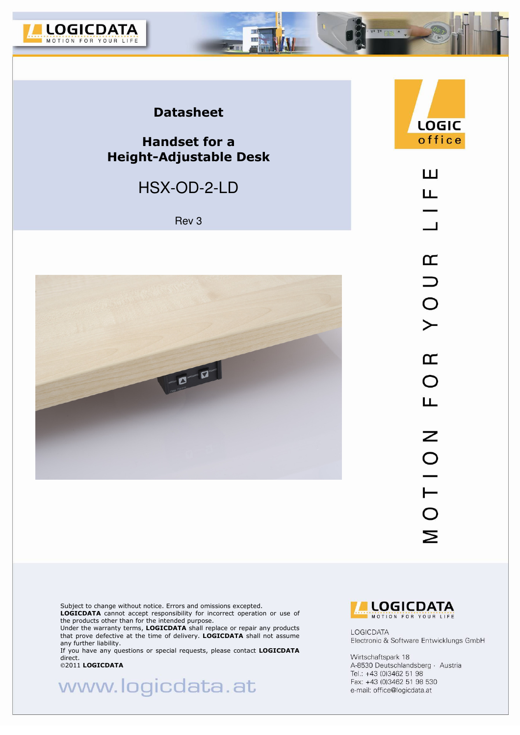

### **Datasheet**

### **Handset for a Height-Adjustable Desk**

## HSX-OD-2-LD

Rev 3



LOGIC office ш Щ  $\overline{\phantom{0}}$  $\alpha$  $\supset$  $\frac{1}{2}$  $\alpha$  $\overline{O}$ 

Щ

Z

 $0110$ 

Σ

ra T4 **[**] 75

Subject to change without notice. Errors and omissions excepted.

**LOGICDATA** cannot accept responsibility for incorrect operation or use of the products other than for the intended purpose.

Under the warranty terms, **LOGICDATA** shall replace or repair any products that prove defective at the time of delivery. **LOGICDATA** shall not assume any further liability.

If you have any questions or special requests, please contact **LOGICDATA**  direct.<br>©2011 **LOGICDATA** 

www.logicdata.at



LOGICDATA Electronic & Software Entwicklungs GmbH

Wirtschaftspark 18 A-8530 Deutschlandsberg · Austria Tel.: +43 (0)3462 51 98 Fax: +43 (0)3462 51 98 530 e-mail: office@logicdata.at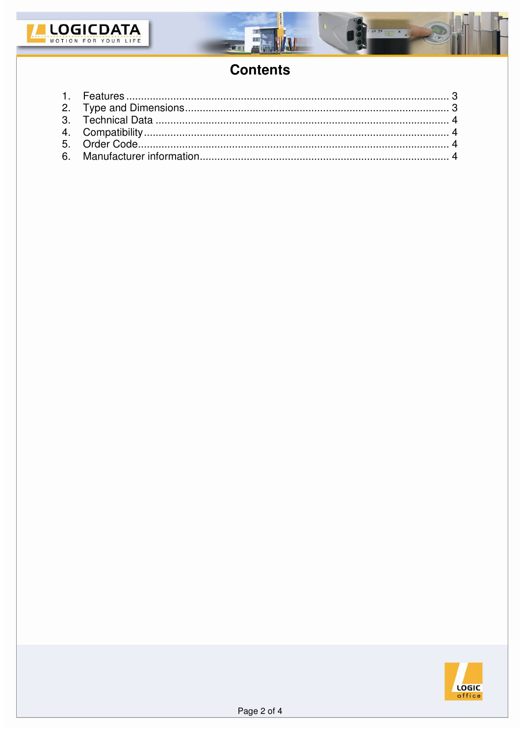



# **Contents**

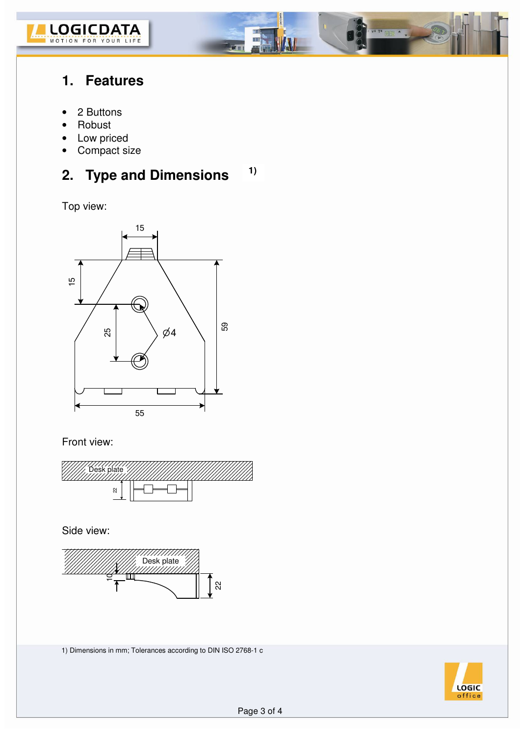

### **1. Features**

- 2 Buttons
- Robust
- Low priced
- Compact size

#### **2. Type and Dimensions 1)**

Ξ

any m

Top view:



### Front view:



Side view:



1) Dimensions in mm; Tolerances according to DIN ISO 2768-1 c



 $T^*$  map  $\blacktriangle$   $\blacktriangle$